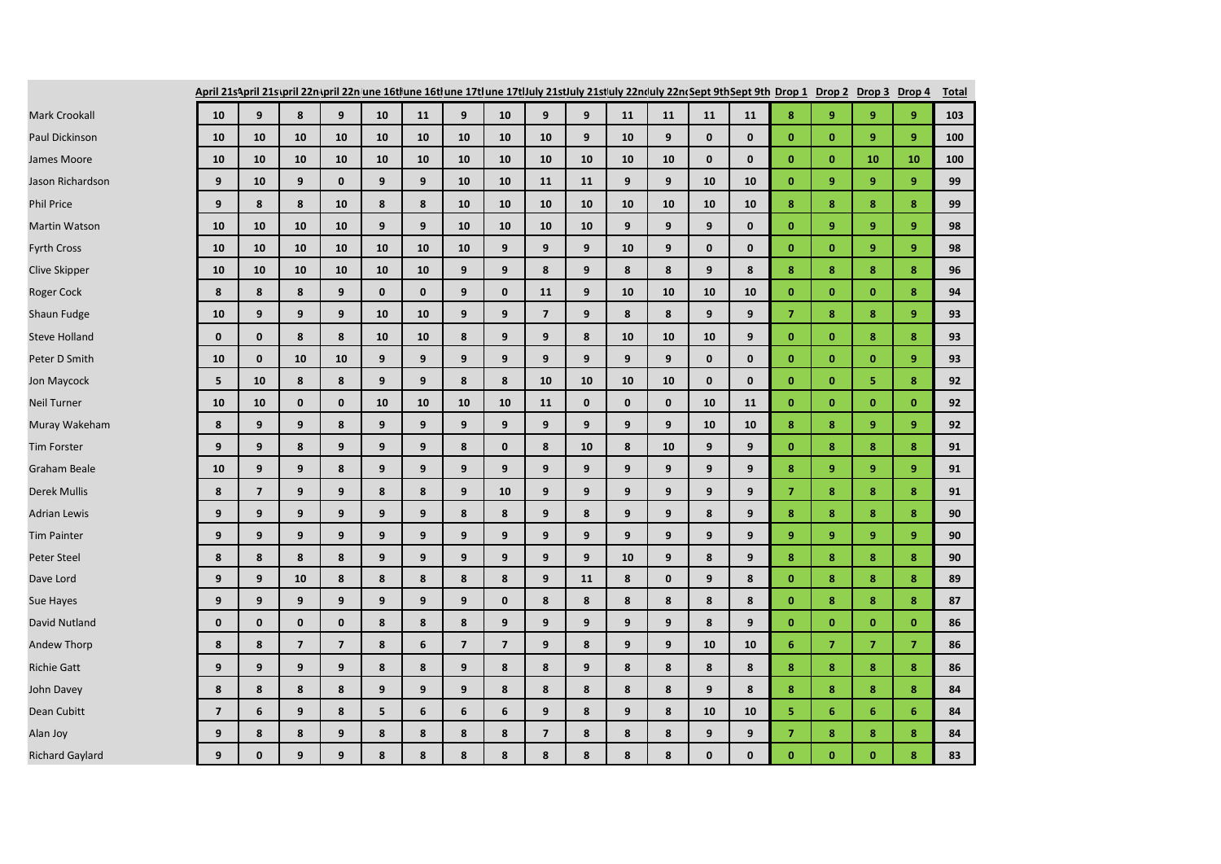|                        | April 21s/pril 21s/pril 22n/pril 22n/une 16tlune 16tlune 17tlune 17tlJuly 21stJuly 21stJuly 22n(July 22n(Sept 9thSept 9th Drop 1 Drop 2 Drop 3 Drop 4 |                |                |                         |              |                |                         |                |                |              |              |              |              |              |                |                |                |                | <b>Total</b> |
|------------------------|-------------------------------------------------------------------------------------------------------------------------------------------------------|----------------|----------------|-------------------------|--------------|----------------|-------------------------|----------------|----------------|--------------|--------------|--------------|--------------|--------------|----------------|----------------|----------------|----------------|--------------|
| Mark Crookall          | 10                                                                                                                                                    | 9              | 8              | 9                       | 10           | 11             | 9                       | 10             | 9              | 9            | 11           | 11           | 11           | 11           | 8              | 9              | 9              | 9              | 103          |
| Paul Dickinson         | 10                                                                                                                                                    | 10             | 10             | 10                      | 10           | 10             | 10                      | 10             | 10             | 9            | 10           | 9            | $\mathbf{0}$ | $\mathbf{0}$ | $\mathbf{0}$   | $\bf{0}$       | $\overline{9}$ | $\overline{9}$ | 100          |
| James Moore            | 10                                                                                                                                                    | 10             | 10             | 10                      | 10           | 10             | 10                      | 10             | 10             | 10           | 10           | 10           | $\mathbf{0}$ | $\mathbf{0}$ | $\mathbf{0}$   | $\mathbf{0}$   | 10             | 10             | 100          |
| Jason Richardson       | 9                                                                                                                                                     | 10             | 9              | $\mathbf{0}$            | 9            | 9              | 10                      | 10             | 11             | 11           | 9            | 9            | 10           | 10           | $\mathbf{0}$   | 9              | 9              | 9              | 99           |
| <b>Phil Price</b>      | 9                                                                                                                                                     | 8              | 8              | 10                      | 8            | 8              | 10                      | 10             | 10             | 10           | 10           | 10           | 10           | 10           | 8              | 8              | 8              | 8              | 99           |
| <b>Martin Watson</b>   | 10                                                                                                                                                    | 10             | 10             | 10                      | 9            | 9              | 10                      | 10             | 10             | 10           | 9            | 9            | 9            | $\mathbf{0}$ | $\mathbf{0}$   | 9              | 9 <sup>°</sup> | 9              | 98           |
| <b>Fyrth Cross</b>     | 10                                                                                                                                                    | 10             | 10             | 10                      | 10           | 10             | 10                      | 9              | 9              | 9            | 10           | 9            | $\mathbf{0}$ | $\mathbf{0}$ | $\mathbf{0}$   | $\mathbf{0}$   | 9              | 9              | 98           |
| <b>Clive Skipper</b>   | 10                                                                                                                                                    | 10             | 10             | 10                      | 10           | 10             | 9                       | 9              | 8              | 9            | 8            | 8            | 9            | 8            | 8              | 8              | 8              | 8              | 96           |
| Roger Cock             | 8                                                                                                                                                     | 8              | 8              | 9                       | $\mathbf{0}$ | $\mathbf{0}$   | 9                       | $\mathbf{0}$   | 11             | 9            | 10           | 10           | 10           | 10           | $\mathbf{0}$   | $\mathbf{0}$   | $\mathbf{0}$   | 8              | 94           |
| Shaun Fudge            | 10                                                                                                                                                    | 9              | 9              | 9                       | 10           | 10             | 9                       | 9              | $\overline{7}$ | 9            | 8            | 8            | 9            | 9            | $\overline{7}$ | 8              | 8              | 9              | 93           |
| <b>Steve Holland</b>   | $\mathbf{0}$                                                                                                                                          | $\mathbf{0}$   | 8              | 8                       | 10           | 10             | 8                       | 9              | 9              | 8            | 10           | 10           | 10           | 9            | $\mathbf{0}$   | $\mathbf{0}$   | 8              | 8              | 93           |
| Peter D Smith          | 10                                                                                                                                                    | $\mathbf{0}$   | 10             | 10                      | 9            | 9              | 9                       | 9              | 9              | 9            | 9            | 9            | $\mathbf{0}$ | $\mathbf{0}$ | $\mathbf{0}$   | $\mathbf{0}$   | $\mathbf{0}$   | 9              | 93           |
| Jon Maycock            | 5                                                                                                                                                     | 10             | 8              | 8                       | 9            | 9              | 8                       | 8              | 10             | 10           | 10           | 10           | $\mathbf{0}$ | $\mathbf{0}$ | $\mathbf{0}$   | $\mathbf{0}$   | 5              | 8              | 92           |
| <b>Neil Turner</b>     | 10                                                                                                                                                    | 10             | $\mathbf{0}$   | $\mathbf{0}$            | 10           | 10             | 10                      | 10             | 11             | $\mathbf{0}$ | $\mathbf{0}$ | $\mathbf{0}$ | 10           | 11           | $\mathbf{0}$   | $\mathbf{0}$   | $\mathbf{0}$   | $\mathbf{0}$   | 92           |
| Muray Wakeham          | 8                                                                                                                                                     | 9              | 9              | 8                       | 9            | 9 <sup>°</sup> | 9                       | 9              | 9              | 9            | 9            | 9            | 10           | 10           | 8              | 8              | $\overline{9}$ | 9              | 92           |
| <b>Tim Forster</b>     | 9                                                                                                                                                     | 9              | 8              | 9                       | 9            | 9              | 8                       | $\mathbf{0}$   | 8              | 10           | 8            | 10           | 9            | 9            | $\mathbf{0}$   | 8              | 8              | 8              | 91           |
| Graham Beale           | 10                                                                                                                                                    | 9              | 9              | 8                       | 9            | 9              | 9                       | 9              | 9              | 9            | 9            | 9            | 9            | 9            | 8              | 9              | $\overline{9}$ | 9              | 91           |
| Derek Mullis           | 8                                                                                                                                                     | $\overline{7}$ | 9              | 9                       | 8            | 8              | 9                       | 10             | 9              | 9            | 9            | 9            | 9            | 9            | $\overline{7}$ | 8              | 8              | 8              | 91           |
| Adrian Lewis           | 9                                                                                                                                                     | 9              | 9              | 9                       | 9            | 9              | 8                       | 8              | 9              | 8            | 9            | 9            | 8            | 9            | 8              | 8              | 8              | 8              | 90           |
| <b>Tim Painter</b>     | 9                                                                                                                                                     | 9              | 9              | 9                       | 9            | 9              | 9                       | 9              | 9              | 9            | 9            | 9            | 9            | 9            | 9              | $\overline{9}$ | $\overline{9}$ | 9              | 90           |
| Peter Steel            | 8                                                                                                                                                     | 8              | 8              | 8                       | 9            | 9              | 9                       | 9              | 9              | 9            | 10           | 9            | 8            | 9            | 8              | 8              | 8              | 8              | 90           |
| Dave Lord              | 9                                                                                                                                                     | 9              | 10             | 8                       | 8            | 8              | 8                       | 8              | 9              | 11           | 8            | $\mathbf{0}$ | 9            | 8            | $\mathbf{0}$   | 8              | 8              | 8              | 89           |
| Sue Hayes              | 9                                                                                                                                                     | 9              | 9              | 9                       | 9            | 9              | 9                       | $\mathbf{0}$   | 8              | 8            | 8            | 8            | 8            | 8            | $\mathbf{0}$   | 8              | 8              | 8              | 87           |
| David Nutland          | $\mathbf 0$                                                                                                                                           | $\mathbf 0$    | $\mathbf 0$    | $\mathbf 0$             | 8            | 8              | 8                       | 9              | 9              | 9            | 9            | 9            | 8            | 9            | $\bf{0}$       | $\bf{0}$       | $\mathbf{0}$   | $\mathbf{0}$   | 86           |
| Andew Thorp            | 8                                                                                                                                                     | 8              | $\overline{7}$ | $\overline{\mathbf{z}}$ | 8            | 6              | $\overline{\mathbf{z}}$ | $\overline{7}$ | 9              | 8            | 9            | 9            | 10           | 10           | $6\phantom{1}$ | $\overline{7}$ | $\overline{7}$ | $\overline{7}$ | 86           |
| <b>Richie Gatt</b>     | 9                                                                                                                                                     | 9              | 9              | 9                       | 8            | 8              | 9                       | 8              | 8              | 9            | 8            | 8            | 8            | 8            | 8              | 8              | 8              | 8              | 86           |
| John Davey             | 8                                                                                                                                                     | 8              | 8              | 8                       | 9            | 9              | 9                       | 8              | 8              | 8            | 8            | 8            | 9            | 8            | 8              | 8              | 8              | 8              | 84           |
| Dean Cubitt            | $\overline{7}$                                                                                                                                        | 6              | 9              | 8                       | 5            | 6              | 6                       | 6              | 9              | 8            | 9            | 8            | 10           | 10           | 5              | 6              | $6\phantom{a}$ | 6              | 84           |
| Alan Joy               | 9                                                                                                                                                     | 8              | 8              | 9                       | 8            | 8              | 8                       | 8              | $\overline{7}$ | 8            | 8            | 8            | 9            | 9            | $\overline{7}$ | 8              | 8              | 8              | 84           |
| <b>Richard Gaylard</b> | 9                                                                                                                                                     | $\mathbf{0}$   | 9              | 9                       | 8            | 8              | 8                       | 8              | 8              | 8            | 8            | 8            | $\mathbf{0}$ | $\mathbf{0}$ | $\mathbf{0}$   | $\mathbf{0}$   | $\mathbf{0}$   | 8              | 83           |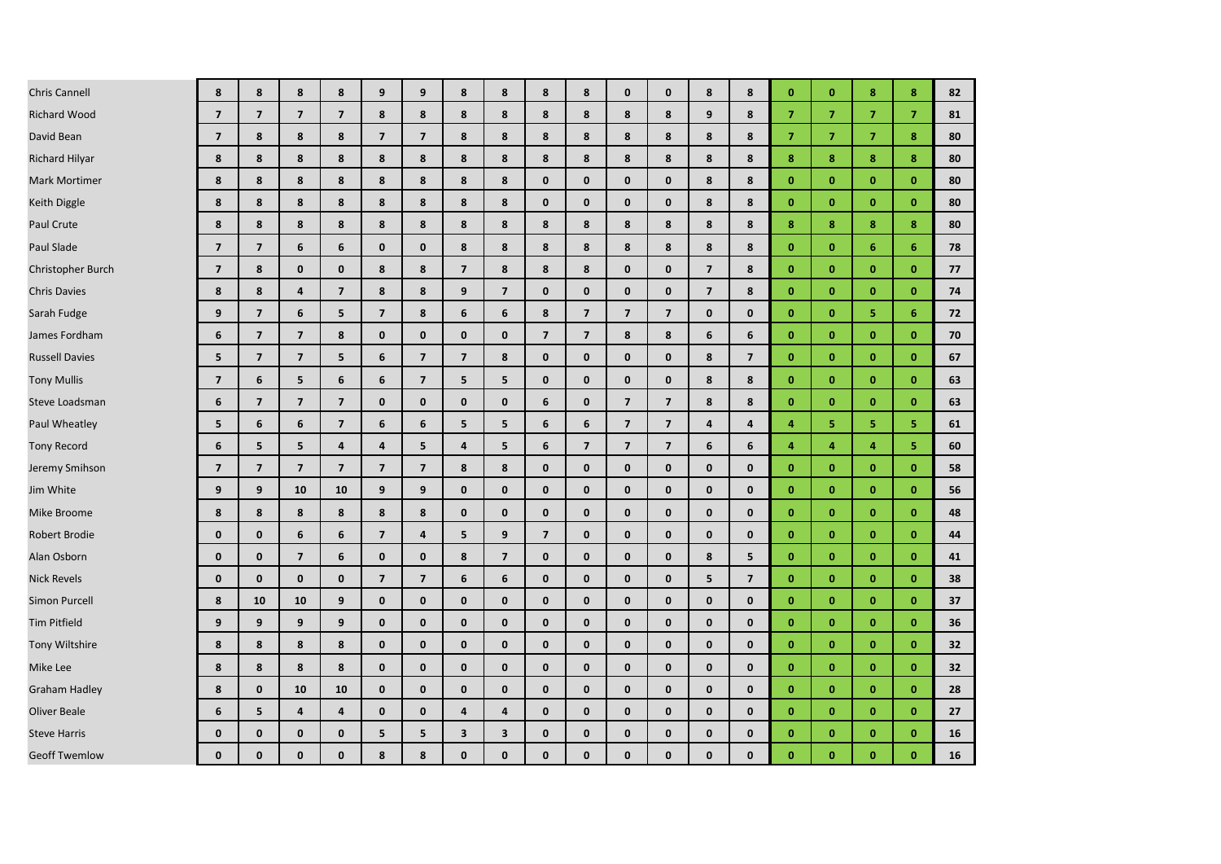| <b>Chris Cannell</b>  | 8                        | 8                       | 8                       | 8                        | 9                       | 9                       | 8                       | 8                       | 8                       | 8                       | $\mathbf 0$             | $\mathbf 0$             | 8                       | 8                       | $\mathbf{0}$   | $\mathbf{0}$   | 8              | 8              | 82 |
|-----------------------|--------------------------|-------------------------|-------------------------|--------------------------|-------------------------|-------------------------|-------------------------|-------------------------|-------------------------|-------------------------|-------------------------|-------------------------|-------------------------|-------------------------|----------------|----------------|----------------|----------------|----|
| <b>Richard Wood</b>   | $\overline{7}$           | $\overline{7}$          | $\overline{7}$          | $\overline{7}$           | 8                       | 8                       | 8                       | 8                       | 8                       | 8                       | 8                       | 8                       | 9                       | 8                       | $\overline{7}$ | $\overline{7}$ | $\overline{7}$ | $\overline{7}$ | 81 |
| David Bean            | $\overline{\phantom{a}}$ | 8                       | 8                       | 8                        | $\overline{\mathbf{z}}$ | $\overline{7}$          | 8                       | 8                       | 8                       | 8                       | 8                       | 8                       | 8                       | 8                       | $\overline{7}$ | $\overline{7}$ | $\overline{7}$ | 8              | 80 |
| Richard Hilyar        | 8                        | 8                       | 8                       | 8                        | 8                       | 8                       | 8                       | 8                       | 8                       | 8                       | 8                       | 8                       | 8                       | 8                       | 8              | 8              | 8              | 8              | 80 |
| <b>Mark Mortimer</b>  | 8                        | 8                       | 8                       | 8                        | 8                       | 8                       | 8                       | 8                       | $\mathbf{0}$            | $\mathbf{0}$            | $\mathbf{0}$            | $\mathbf{0}$            | 8                       | 8                       | $\mathbf{0}$   | $\mathbf{0}$   | $\mathbf{0}$   | $\mathbf{0}$   | 80 |
| Keith Diggle          | 8                        | 8                       | 8                       | 8                        | 8                       | 8                       | 8                       | 8                       | $\mathbf{0}$            | $\mathbf{0}$            | $\mathbf{0}$            | $\mathbf{0}$            | 8                       | 8                       | $\mathbf{0}$   | $\mathbf{0}$   | $\mathbf{0}$   | $\mathbf{0}$   | 80 |
| Paul Crute            | 8                        | 8                       | 8                       | 8                        | 8                       | 8                       | 8                       | 8                       | 8                       | 8                       | 8                       | 8                       | 8                       | 8                       | 8              | 8              | 8              | 8              | 80 |
| Paul Slade            | $\overline{7}$           | $\overline{7}$          | 6                       | 6                        | $\mathbf{0}$            | $\mathbf{0}$            | 8                       | 8                       | 8                       | 8                       | 8                       | 8                       | 8                       | 8                       | $\mathbf{0}$   | $\mathbf{0}$   | 6              | 6              | 78 |
| Christopher Burch     | $\overline{7}$           | 8                       | $\mathbf{0}$            | $\mathbf{0}$             | 8                       | 8                       | $\overline{7}$          | 8                       | 8                       | 8                       | $\mathbf{0}$            | $\mathbf{0}$            | $\overline{7}$          | 8                       | $\mathbf{0}$   | $\mathbf{0}$   | $\mathbf{0}$   | $\mathbf{0}$   | 77 |
| <b>Chris Davies</b>   | 8                        | 8                       | 4                       | $\overline{\phantom{a}}$ | 8                       | 8                       | 9                       | $\overline{\mathbf{z}}$ | $\mathbf 0$             | 0                       | $\mathbf 0$             | $\mathbf 0$             | $\overline{\mathbf{z}}$ | 8                       | $\mathbf{0}$   | $\bf{0}$       | $\mathbf{0}$   | $\mathbf{0}$   | 74 |
| Sarah Fudge           | 9                        | $\overline{7}$          | 6                       | 5                        | $\overline{\mathbf{z}}$ | 8                       | 6                       | 6                       | 8                       | $\overline{7}$          | $\overline{7}$          | $\overline{\mathbf{z}}$ | $\mathbf 0$             | $\mathbf{0}$            | $\mathbf{0}$   | $\mathbf{0}$   | 5              | 6              | 72 |
| James Fordham         | 6                        | $\overline{\mathbf{z}}$ | $\overline{7}$          | 8                        | 0                       | $\mathbf 0$             | $\mathbf 0$             | $\mathbf{0}$            | $\overline{\mathbf{z}}$ | $\overline{\mathbf{z}}$ | 8                       | 8                       | 6                       | 6                       | $\mathbf{0}$   | $\mathbf{0}$   | $\bf{0}$       | $\mathbf{0}$   | 70 |
| <b>Russell Davies</b> | 5                        | $\overline{7}$          | $\overline{\mathbf{z}}$ | 5                        | 6                       | $\overline{7}$          | $\overline{7}$          | 8                       | $\mathbf{0}$            | $\mathbf{0}$            | $\mathbf{0}$            | $\mathbf 0$             | 8                       | $\overline{7}$          | $\mathbf{0}$   | $\mathbf{0}$   | $\mathbf{0}$   | $\mathbf{0}$   | 67 |
| <b>Tony Mullis</b>    | $\overline{7}$           | 6                       | 5                       | 6                        | 6                       | $\overline{7}$          | 5                       | 5                       | $\mathbf{0}$            | $\mathbf{0}$            | $\mathbf{0}$            | $\mathbf{0}$            | 8                       | 8                       | $\mathbf{0}$   | $\mathbf{0}$   | $\mathbf{0}$   | $\mathbf{0}$   | 63 |
| Steve Loadsman        | 6                        | $\overline{\mathbf{z}}$ | $\overline{7}$          | $\overline{\mathbf{z}}$  | $\mathbf{0}$            | $\mathbf{0}$            | 0                       | $\mathbf{0}$            | 6                       | $\mathbf{0}$            | $\overline{\mathbf{z}}$ | $\overline{\mathbf{z}}$ | 8                       | 8                       | $\mathbf{0}$   | $\mathbf{0}$   | $\mathbf{0}$   | $\mathbf{0}$   | 63 |
| Paul Wheatley         | 5                        | 6                       | 6                       | $\overline{\mathbf{z}}$  | 6                       | 6                       | 5                       | 5                       | 6                       | 6                       | $\overline{7}$          | $\overline{7}$          | 4                       | $\overline{\mathbf{4}}$ | $\overline{a}$ | 5              | 5              | 5.             | 61 |
| <b>Tony Record</b>    | 6                        | 5                       | 5                       | $\overline{4}$           | 4                       | 5                       | $\overline{4}$          | 5                       | 6                       | $\overline{7}$          | $\overline{7}$          | $\overline{7}$          | 6                       | 6                       | $\overline{4}$ | 4              | $\overline{4}$ | 5.             | 60 |
| Jeremy Smihson        | $\overline{7}$           | $\overline{7}$          | $\overline{\mathbf{z}}$ | $\overline{\mathbf{z}}$  | $\overline{7}$          | $\overline{7}$          | 8                       | 8                       | $\mathbf 0$             | $\mathbf 0$             | $\mathbf 0$             | $\mathbf 0$             | $\mathbf 0$             | $\mathbf 0$             | $\mathbf{0}$   | $\mathbf{0}$   | $\mathbf{0}$   | $\mathbf{0}$   | 58 |
| Jim White             | 9                        | 9                       | 10                      | 10                       | 9                       | 9                       | $\mathbf{0}$            | $\mathbf{0}$            | $\mathbf{0}$            | $\mathbf{0}$            | $\mathbf{0}$            | $\mathbf{0}$            | $\mathbf{0}$            | $\mathbf{0}$            | $\mathbf{0}$   | $\mathbf{0}$   | $\mathbf{0}$   | $\mathbf{0}$   | 56 |
| Mike Broome           | 8                        | 8                       | 8                       | 8                        | 8                       | 8                       | $\mathbf 0$             | $\mathbf{0}$            | $\mathbf 0$             | 0                       | $\mathbf 0$             | $\mathbf 0$             | $\mathbf{0}$            | $\mathbf 0$             | $\mathbf{0}$   | $\mathbf{0}$   | $\bf{0}$       | $\mathbf{0}$   | 48 |
| Robert Brodie         | 0                        | $\mathbf 0$             | 6                       | 6                        | $\overline{\mathbf{z}}$ | $\overline{\mathbf{4}}$ | 5                       | 9                       | $\overline{7}$          | $\mathbf{0}$            | $\mathbf{0}$            | $\mathbf 0$             | $\mathbf{0}$            | $\mathbf{0}$            | $\mathbf{0}$   | $\mathbf{0}$   | $\mathbf{0}$   | $\mathbf{0}$   | 44 |
| Alan Osborn           | $\mathbf{0}$             | $\mathbf{0}$            | $\overline{7}$          | 6                        | $\mathbf{0}$            | $\mathbf{0}$            | 8                       | $\overline{\mathbf{z}}$ | $\mathbf{0}$            | $\mathbf{0}$            | $\mathbf{0}$            | $\mathbf{0}$            | 8                       | 5                       | $\mathbf{0}$   | $\mathbf{0}$   | $\mathbf{0}$   | $\mathbf{0}$   | 41 |
| <b>Nick Revels</b>    | $\mathbf 0$              | $\mathbf 0$             | $\mathbf 0$             | $\mathbf 0$              | $\overline{7}$          | $\overline{7}$          | 6                       | 6                       | $\mathbf 0$             | $\mathbf{0}$            | $\mathbf{0}$            | $\mathbf 0$             | 5                       | $\overline{7}$          | $\mathbf{0}$   | $\mathbf{0}$   | $\bf{0}$       | $\mathbf{0}$   | 38 |
| Simon Purcell         | 8                        | 10                      | 10                      | 9                        | $\mathbf{0}$            | $\mathbf{0}$            | $\mathbf{0}$            | $\mathbf{0}$            | $\mathbf{0}$            | $\mathbf{0}$            | $\mathbf{0}$            | $\mathbf{0}$            | $\mathbf{0}$            | $\mathbf{0}$            | $\mathbf{0}$   | $\mathbf{0}$   | $\mathbf{0}$   | $\mathbf{0}$   | 37 |
| <b>Tim Pitfield</b>   | 9                        | 9                       | 9                       | 9                        | $\mathbf{0}$            | $\mathbf{0}$            | $\mathbf{0}$            | $\mathbf{0}$            | $\mathbf{0}$            | $\mathbf{0}$            | $\mathbf{0}$            | $\mathbf{0}$            | $\mathbf{0}$            | $\mathbf{0}$            | $\mathbf{0}$   | $\mathbf{0}$   | $\mathbf{0}$   | $\mathbf{0}$   | 36 |
| Tony Wiltshire        | 8                        | 8                       | 8                       | 8                        | 0                       | $\mathbf 0$             | $\mathbf 0$             | $\mathbf{0}$            | $\mathbf 0$             | 0                       | $\mathbf 0$             | $\mathbf 0$             | $\mathbf 0$             | $\mathbf 0$             | $\mathbf{0}$   | $\bf{0}$       | $\bf{0}$       | $\mathbf{0}$   | 32 |
| Mike Lee              | 8                        | 8                       | 8                       | 8                        | $\mathbf{0}$            | $\mathbf 0$             | $\mathbf 0$             | $\mathbf{0}$            | $\mathbf 0$             | $\mathbf{0}$            | $\mathbf 0$             | $\mathbf{0}$            | $\mathbf{0}$            | $\mathbf{0}$            | $\mathbf{0}$   | $\mathbf{0}$   | $\mathbf{0}$   | $\mathbf{0}$   | 32 |
| Graham Hadley         | 8                        | $\mathbf{0}$            | 10                      | 10                       | $\mathbf{0}$            | $\mathbf{0}$            | $\mathbf 0$             | $\mathbf{0}$            | $\mathbf{0}$            | $\mathbf{0}$            | $\mathbf{0}$            | $\mathbf{0}$            | $\mathbf{0}$            | $\mathbf{0}$            | $\mathbf{0}$   | $\mathbf{0}$   | $\mathbf{0}$   | $\mathbf{0}$   | 28 |
| <b>Oliver Beale</b>   | 6                        | 5                       | $\overline{\mathbf{4}}$ | $\pmb{4}$                | $\mathbf{0}$            | $\mathbf 0$             | 4                       | $\overline{4}$          | $\mathbf{0}$            | $\mathbf{0}$            | $\mathbf{0}$            | $\mathbf 0$             | $\mathbf{0}$            | $\mathbf 0$             | $\mathbf{0}$   | $\mathbf{0}$   | $\mathbf{0}$   | $\mathbf{0}$   | 27 |
| <b>Steve Harris</b>   | $\mathbf{0}$             | $\mathbf 0$             | $\mathbf{0}$            | $\mathbf 0$              | 5                       | 5                       | $\overline{\mathbf{3}}$ | 3                       | $\mathbf{0}$            | 0                       | $\mathbf{0}$            | $\mathbf{0}$            | $\mathbf 0$             | $\mathbf{0}$            | $\mathbf{0}$   | $\mathbf{0}$   | $\mathbf{0}$   | $\mathbf{0}$   | 16 |
| <b>Geoff Twemlow</b>  | $\mathbf{0}$             | $\mathbf 0$             | $\mathbf{0}$            | $\mathbf{0}$             | 8                       | 8                       | $\mathbf{0}$            | $\mathbf{0}$            | $\mathbf{0}$            | $\mathbf{0}$            | $\mathbf{0}$            | 0                       | $\mathbf{0}$            | 0                       | $\mathbf{0}$   | $\mathbf{0}$   | $\mathbf{0}$   | $\mathbf{0}$   | 16 |